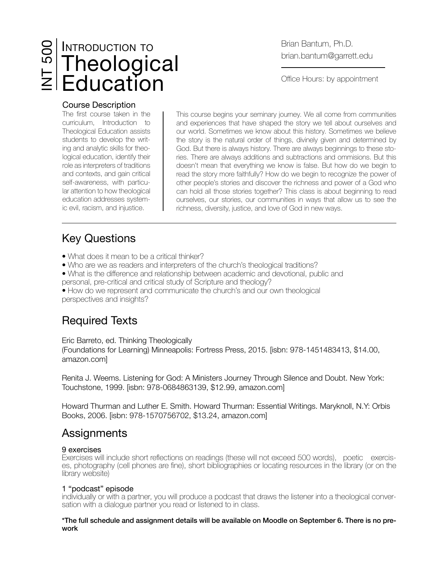# INTRODUCTION TO Theological INT 500 Education

## Brian Bantum, Ph.D. brian.bantum@garrett.edu

Office Hours: by appointment

#### Course Description

The first course taken in the curriculum, Introduction to Theological Education assists students to develop the writing and analytic skills for theological education, identify their role as interpreters of traditions and contexts, and gain critical self-awareness, with particular attention to how theological education addresses systemic evil, racism, and injustice.

This course begins your seminary journey. We all come from communities and experiences that have shaped the story we tell about ourselves and our world. Sometimes we know about this history. Sometimes we believe the story is the natural order of things, divinely given and determined by God. But there is always history. There are always beginnings to these stories. There are always additions and subtractions and ommisions. But this doesn't mean that everything we know is false. But how do we begin to read the story more faithfully? How do we begin to recognize the power of other people's stories and discover the richness and power of a God who can hold all those stories together? This class is about beginning to read ourselves, our stories, our communities in ways that allow us to see the richness, diversity, justice, and love of God in new ways.

# Key Questions

- What does it mean to be a critical thinker?
- Who are we as readers and interpreters of the church's theological traditions?
- What is the difference and relationship between academic and devotional, public and
- personal, pre-critical and critical study of Scripture and theology?
- How do we represent and communicate the church's and our own theological perspectives and insights?

## Required Texts

Eric Barreto, ed. Thinking Theologically

(Foundations for Learning) Minneapolis: Fortress Press, 2015. [isbn: 978-1451483413, \$14.00, amazon.com]

Renita J. Weems. Listening for God: A Ministers Journey Through Silence and Doubt. New York: Touchstone, 1999. [isbn: 978-0684863139, \$12.99, amazon.com]

Howard Thurman and Luther E. Smith. Howard Thurman: Essential Writings. Maryknoll, N.Y: Orbis Books, 2006. [isbn: 978-1570756702, \$13.24, amazon.com]

## **Assignments**

9 exercises<br>Exercises will include short reflections on readings (these will not exceed 500 words), poetic exercises, photography (cell phones are fine), short bibliographies or locating resources in the library (or on the library website)

### 1 "podcast" episode

individually or with a partner, you will produce a podcast that draws the listener into a theological conversation with a dialogue partner you read or listened to in class.

\*The full schedule and assignment details will be available on Moodle on September 6. There is no prework